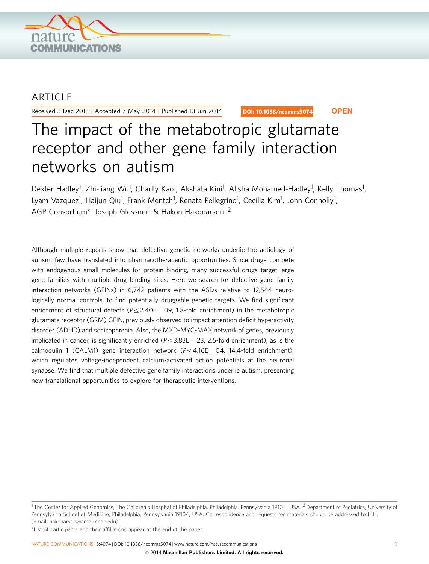

## ARTICLE

Received 5 Dec 2013 | Accepted 7 May 2014 | Published 13 Jun 2014

DOI: 10.1038/ncomms5074 **OPEN**

# The impact of the metabotropic glutamate receptor and other gene family interaction networks on autism

Dexter Hadley<sup>1</sup>, Zhi-liang Wu<sup>1</sup>, Charlly Kao<sup>1</sup>, Akshata Kini<sup>1</sup>, Alisha Mohamed-Hadley<sup>1</sup>, Kelly Thomas<sup>1</sup>, Lyam Vazquez<sup>1</sup>, Haijun Qiu<sup>1</sup>, Frank Mentch<sup>1</sup>, Renata Pellegrino<sup>1</sup>, Cecilia Kim<sup>1</sup>, John Connolly<sup>1</sup>, AGP Consortium\*, Joseph Glessner<sup>1</sup> & Hakon Hakonarson<sup>1,2</sup>

Although multiple reports show that defective genetic networks underlie the aetiology of autism, few have translated into pharmacotherapeutic opportunities. Since drugs compete with endogenous small molecules for protein binding, many successful drugs target large gene families with multiple drug binding sites. Here we search for defective gene family interaction networks (GFINs) in 6,742 patients with the ASDs relative to 12,544 neurologically normal controls, to find potentially druggable genetic targets. We find significant enrichment of structural defects ( $P{\leq}2.40{\sf E}-09$ , 1.8-fold enrichment) in the metabotropic glutamate receptor (GRM) GFIN, previously observed to impact attention deficit hyperactivity disorder (ADHD) and schizophrenia. Also, the MXD-MYC-MAX network of genes, previously implicated in cancer, is significantly enriched (P $\leq$ 3.83E  $-$  23, 2.5-fold enrichment), as is the calmodulin 1 (CALM1) gene interaction network ( $P \leq 4.16E - 04$ , 14.4-fold enrichment), which regulates voltage-independent calcium-activated action potentials at the neuronal synapse. We find that multiple defective gene family interactions underlie autism, presenting new translational opportunities to explore for therapeutic interventions.

\*List of participants and their affiliations appear at the end of the paper.

NATURE COMMUNICATIONS | 5:4074 | DOI: 10.1038/ncomms5074 | [www.nature.com/naturecommunications](http://www.nature.com/naturecommunications) 1

<sup>&</sup>lt;sup>1</sup> The Center for Applied Genomics, The Children's Hospital of Philadelphia, Philadelphia, Pennsylvania 19104, USA. <sup>2</sup> Department of Pediatrics, University of Pennsylvania School of Medicine, Philadelphia, Pennsylvania 19104, USA. Correspondence and requests for materials should be addressed to H.H. (email: [hakonarson@email.chop.edu](mailto:hakonarson@email.chop.edu)).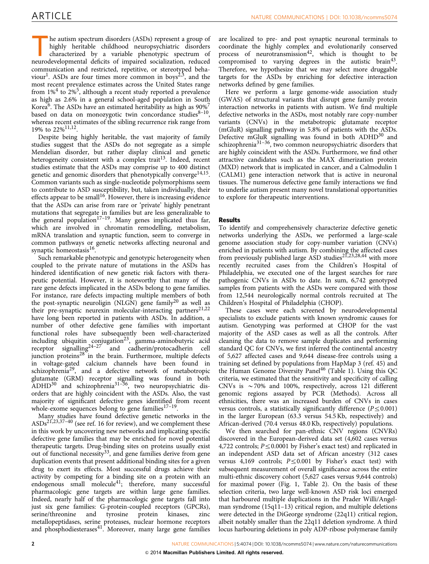he autism spectrum disorders (ASDs) represent a group of highly heritable childhood neuropsychiatric disorders characterized by a variable phenotypic spectrum of neurodevelopmental deficits of impaired socialization, reduced communication and restricted, repetitive, or stereotyped beha-viour<sup>[1](#page-6-0)</sup>. ASDs are four times more common in boys<sup>2,3</sup>, and the most recent prevalence estimates across the United States range from  $1\%$ <sup>[4](#page-6-0)</sup> to  $2\%$ <sup>5</sup>, although a recent study reported a prevalence as high as 2.6% in a general school-aged population in South Korea<sup>6</sup>. The ASDs have an estimated heritability as high as  $90\%$ <sup>7</sup> based on data on monozygotic twin concordance studies $8-10$ , whereas recent estimates of the sibling recurrence risk range from 19% to 22%[11,12](#page-6-0).

Despite being highly heritable, the vast majority of family studies suggest that the ASDs do not segregate as a simple Mendelian disorder, but rather display clinical and genetic heterogeneity consistent with a complex trait<sup>13</sup>. Indeed, recent studies estimate that the ASDs may comprise up to 400 distinct genetic and genomic disorders that phenotypically converge<sup>14,15</sup>. Common variants such as single-nucleotide polymorphisms seem to contribute to ASD susceptibility, but, taken individually, their effects appear to be small<sup>16</sup>. However, there is increasing evidence that the ASDs can arise from rare or 'private' highly penetrant mutations that segregate in families but are less generalizable to the general population<sup>17–19</sup>. Many genes implicated thus far, which are involved in chromatin remodelling, metabolism, mRNA translation and synaptic function, seem to converge in common pathways or genetic networks affecting neuronal and synaptic homeostasis<sup>[16](#page-6-0)</sup>.

Such remarkable phenotypic and genotypic heterogeneity when coupled to the private nature of mutations in the ASDs has hindered identification of new genetic risk factors with therapeutic potential. However, it is noteworthy that many of the rare gene defects implicated in the ASDs belong to gene families. For instance, rare defects impacting multiple members of both the post-synaptic neuroligin (NLGN) gene family<sup>[20](#page-6-0)</sup> as well as their pre-synaptic neurexin molecular-interacting partners<sup>[21,22](#page-6-0)</sup> have long been reported in patients with ASDs. In addition, a number of other defective gene families with important functional roles have subsequently been well-characterized including ubiquitin conjugation<sup>23</sup>, gamma-aminobutyric acid receptor signalling<sup>24-27</sup> and cadherin/protocadherin cell junction proteins<sup>[28](#page-6-0)</sup> in the brain. Furthermore, multiple defects in voltage-gated calcium channels have been found in schizophrenia[29](#page-6-0), and a defective network of metabotropic glutamate (GRM) receptor signalling was found in both  $ADHD^{30}$  $ADHD^{30}$  $ADHD^{30}$  and schizophrenia<sup>[31–36](#page-6-0)</sup>, two neuropsychiatric disorders that are highly coincident with the ASDs. Also, the vast majority of significant defective genes identified from recent whole-exome sequences belong to gene families $17-19$ .

Many studies have found defective genetic networks in the  $ASDs<sup>21,23,37-40</sup>$  (see [ref. 16](#page-6-0) for review), and we complement these in this work by uncovering new networks and implicating specific defective gene families that may be enriched for novel potential therapeutic targets. Drug-binding sites on proteins usually exist out of functional necessity<sup>33</sup>, and gene families derive from gene duplication events that present additional binding sites for a given drug to exert its effects. Most successful drugs achieve their activity by competing for a binding site on a protein with an endogenous small molecule<sup>41</sup>; therefore, many successful pharmacologic gene targets are within large gene families. Indeed, nearly half of the pharmacologic gene targets fall into just six gene families: G-protein-coupled receptors (GPCRs), serine/threonine and tyrosine protein kinases, zinc metallopeptidases, serine proteases, nuclear hormone receptors and phosphodiesterases<sup>[41](#page-7-0)</sup>. Moreover, many large gene families

are localized to pre- and post synaptic neuronal terminals to coordinate the highly complex and evolutionarily conserved process of neurotransmission<sup>[42](#page-7-0)</sup>, which is thought to be compromised to varying degrees in the autistic brain<sup>43</sup>. Therefore, we hypothesize that we may select more druggable targets for the ASDs by enriching for defective interaction networks defined by gene families.

Here we perform a large genome-wide association study (GWAS) of structural variants that disrupt gene family protein interaction networks in patients with autism. We find multiple defective networks in the ASDs, most notably rare copy-number variants (CNVs) in the metabotropic glutamate receptor (mGluR) signalling pathway in 5.8% of patients with the ASDs. Defective mGluR signalling was found in both ADHD<sup>30</sup> and schizophrenia<sup>31–36</sup>, two common neuropsychiatric disorders that are highly coincident with the ASDs. Furthermore, we find other attractive candidates such as the MAX dimerization protein (MXD) network that is implicated in cancer, and a Calmodulin 1 (CALM1) gene interaction network that is active in neuronal tissues. The numerous defective gene family interactions we find to underlie autism present many novel translational opportunities to explore for therapeutic interventions.

### Results

To identify and comprehensively characterize defective genetic networks underlying the ASDs, we performed a large-scale genome association study for copy-number variation (CNVs) enriched in patients with autism. By combining the affected cases from previously published large ASD studies<sup>[21,23,28,44](#page-6-0)</sup> with more recently recruited cases from the Children's Hospital of Philadelphia, we executed one of the largest searches for rare pathogenic CNVs in ASDs to date. In sum, 6,742 genotyped samples from patients with the ASDs were compared with those from 12,544 neurologically normal controls recruited at The Children's Hospital of Philadelphia (CHOP).

These cases were each screened by neurodevelopmental specialists to exclude patients with known syndromic causes for autism. Genotyping was performed at CHOP for the vast majority of the ASD cases as well as all the controls. After cleaning the data to remove sample duplicates and performing standard QC for CNVs, we first inferred the continental ancestry of 5,627 affected cases and 9,644 disease-free controls using a training set defined by populations from HapMap 3 [\(ref. 45](#page-7-0)) and the Human Genome Diversity Panel<sup>[46](#page-7-0)</sup> ([Table 1](#page-2-0)). Using this QC criteria, we estimated that the sensitivity and specificity of calling CNVs is  $\sim$  70% and 100%, respectively, across 121 different genomic regions assayed by PCR (Methods). Across all ethnicities, there was an increased burden of CNVs in cases versus controls, a statistically significantly difference ( $P \le 0.001$ ) in the larger European (63.3 versus 54.5 Kb, respectively) and African-derived (70.4 versus 48.0 Kb, respectively) populations.

We then searched for pan-ethnic CNV regions (CNVRs) discovered in the European-derived data set (4,602 cases versus 4,722 controls;  $P \le 0.0001$  by Fisher's exact test) and replicated in an independent ASD data set of African ancestry (312 cases versus  $4,169$  controls;  $P \le 0.001$  by Fisher's exact test) with subsequent measurement of overall significance across the entire multi-ethnic discovery cohort (5,627 cases versus 9,644 controls) for maximal power ([Fig. 1](#page-2-0), [Table 2](#page-3-0)). On the basis of these selection criteria, two large well-known ASD risk loci emerged that harboured multiple duplications in the Prader Willi/Angelman syndrome (15q11–13) critical region, and multiple deletions were detected in the DiGeorge syndrome (22q11) critical region, albeit notably smaller than the 22q11 deletion syndrome. A third locus harbouring deletions in poly ADP-ribose polymerase family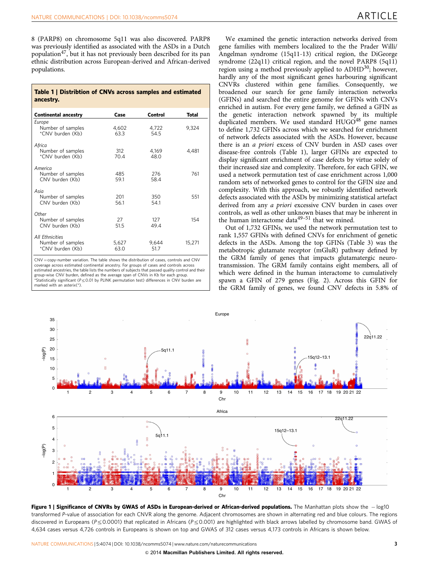<span id="page-2-0"></span>8 (PARP8) on chromosome 5q11 was also discovered. PARP8 was previously identified as associated with the ASDs in a Dutch population<sup>[47](#page-7-0)</sup>, but it has not previously been described for its pan ethnic distribution across European-derived and African-derived populations.

|           | Table 1   Distribtion of CNVs across samples and estimated |
|-----------|------------------------------------------------------------|
| ancestry. |                                                            |

| <b>Continental ancestry</b>                              | Case          | Control       | Total  |
|----------------------------------------------------------|---------------|---------------|--------|
| Europe<br>Number of samples<br>*CNV burden (Kb)          | 4,602<br>63.3 | 4,722<br>54.5 | 9,324  |
| Africa<br>Number of samples<br>*CNV burden (Kb)          | 312<br>70.4   | 4,169<br>48 O | 4,481  |
| America<br>Number of samples<br>CNV burden (Kb)          | 485<br>59.1   | 276<br>58.4   | 761    |
| Asia<br>Number of samples<br>CNV burden (Kb)             | 201<br>56.1   | 350<br>54.1   | 551    |
| Other<br>Number of samples<br>CNV burden (Kb)            | 27<br>51.5    | 127<br>49.4   | 154    |
| All Fthnicities<br>Number of samples<br>*CNV burden (Kb) | 5,627<br>63.0 | 9.644<br>51.7 | 15,271 |

 $C$ NV = copy-number variation. The table shows the distribution of cases, controls and  $C$ NV coverage across estimated continental ancestry. For groups of cases and controls across estimated ancestries, the table lists the numbers of subjects that passed quality control and their group-wise CNV burden, defined as the average span of CNVs in Kb for each group.  $*$ Statistically significant (P $\leq$ 0.01 by PLINK permutation test) differences in CNV burden are marked with an asterix(\*).

We examined the genetic interaction networks derived from gene families with members localized to the the Prader Willi/ Angelman syndrome (15q11-13) critical region, the DiGeorge syndrome (22q11) critical region, and the novel PARP8 (5q11) region using a method previously applied to  $ADHD^{30}$ ; however, hardly any of the most significant genes harbouring significant CNVRs clustered within gene families. Consequently, we broadened our search for gene family interaction networks (GFINs) and searched the entire genome for GFINs with CNVs enriched in autism. For every gene family, we defined a GFIN as the genetic interaction network spawned by its multiple duplicated members. We used standard HUGO<sup>[48](#page-7-0)</sup> gene names to define 1,732 GFINs across which we searched for enrichment of network defects associated with the ASDs. However, because there is an a priori excess of CNV burden in ASD cases over disease-free controls (Table 1), larger GFINs are expected to display significant enrichment of case defects by virtue solely of their increased size and complexity. Therefore, for each GFIN, we used a network permutation test of case enrichment across 1,000 random sets of networked genes to control for the GFIN size and complexity. With this approach, we robustly identified network defects associated with the ASDs by minimizing statistical artefact derived from any a priori excessive CNV burden in cases over controls, as well as other unknown biases that may be inherent in the human interactome data $49-51$  that we mined.

Out of 1,732 GFINs, we used the network permutation test to rank 1,557 GFINs with defined CNVs for enrichment of genetic defects in the ASDs. Among the top GFINs [\(Table 3\)](#page-3-0) was the metabotropic glutamate receptor (mGluR) pathway defined by the GRM family of genes that impacts glutamatergic neurotransmission. The GRM family contains eight members, all of which were defined in the human interactome to cumulatively spawn a GFIN of 279 genes ([Fig. 2](#page-4-0)). Across this GFIN for the GRM family of genes, we found CNV defects in 5.8% of



Figure 1 | Significance of CNVRs by GWAS of ASDs in European-derived or African-derived populations. The Manhattan plots show the  $-\log10$ transformed P-value of association for each CNVR along the genome. Adjacent chromosomes are shown in alternating red and blue colours. The regions discovered in Europeans (P $\leq$ 0.0001) that replicated in Africans (P $\leq$ 0.001) are highlighted with black arrows labelled by chromosome band. GWAS of 4,634 cases versus 4,726 controls in Europeans is shown on top and GWAS of 312 cases versus 4,173 controls in Africans is shown below.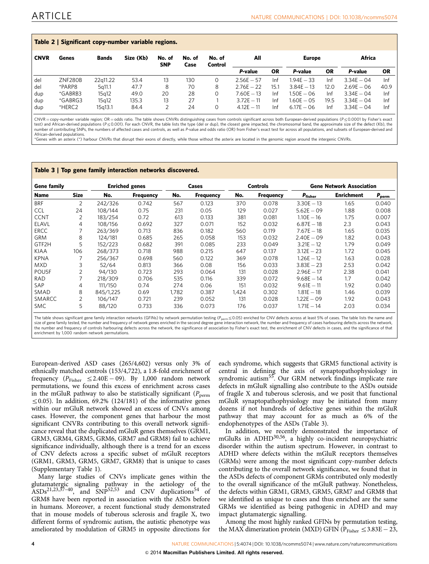<span id="page-3-0"></span>

| Table 2   Significant copy-number variable regions. |                |              |           |                      |                |                   |              |               |               |           |              |           |
|-----------------------------------------------------|----------------|--------------|-----------|----------------------|----------------|-------------------|--------------|---------------|---------------|-----------|--------------|-----------|
| <b>CNVR</b>                                         | Genes          | <b>Bands</b> | Size (Kb) | No. of<br><b>SNP</b> | No. of<br>Case | No. of<br>Control | All          | <b>Europe</b> |               |           | Africa       |           |
|                                                     |                |              |           |                      |                |                   | P-value      | <b>OR</b>     | P-value       | <b>OR</b> | P-value      | <b>OR</b> |
| del                                                 | <b>ZNF280B</b> | 22a11.22     | 53.4      | 13                   | 130            | Ω                 | $2.56E - 57$ | Inf           | $1.94E - 33$  | Inf       | $3.34E - 04$ | Inf       |
| del                                                 | *PARP8         | 5a11.1       | 47.7      | 8                    | 70             | 8                 | $2.76E - 22$ | 15.1          | $3.84E - 13$  | 12.0      | $2.69E - 06$ | 40.9      |
| dup                                                 | *GABRB3        | 15a12        | 49.0      | 20                   | 28             | Ω                 | $7.60E - 13$ | Inf           | $1.50E - 06$  | Inf       | $3.34E - 04$ | Inf       |
| dup                                                 | *GABRG3        | 15a12        | 135.3     | 13                   | 27             |                   | $3.72E - 11$ | Inf           | $1.60E - 0.5$ | 19.5      | $3.34E - 04$ | Inf       |
| dup                                                 | *HERC2         | 15g13.1      | 84.4      |                      | 24             | Ω                 | $4.12E - 11$ | Inf           | $6.17E - 06$  | Inf       | $3.34E - 04$ | Inf       |

 $C$ NVR = copy-number variable region; OR = odds ratio. The table shows CNVRs distinguishing cases from controls significant across both European-derived populations ( $P \le 0.0001$  by Fisher's exact test) and African-derived populations ( $P \le 0.001$ ). For each CNVR, the table lists the type (del or dup), the closest gene impacted, the chromosomal band, the approximate size of the defect (Kb), the number of contributing SNPs, the numbers of affected cases and controls, as well as P-value and odds ratio (OR) from Fisher's exact test for across all populations, and subsets of European-derived and African-derived populations.

\*Genes with an asterix (\*) harbour CNVRs that disrupt their exons of directly, while those without the asterix are located in the genomic region around the intergenic CNVRs.

#### Table 3 | Top gene family interaction networks discovered.

| <b>Gene family</b> |             | <b>Enriched genes</b> |                  | Cases |                  | <b>Controls</b> |                  | <b>Gene Network Association</b> |                   |                        |
|--------------------|-------------|-----------------------|------------------|-------|------------------|-----------------|------------------|---------------------------------|-------------------|------------------------|
| Name               | <b>Size</b> | No.                   | <b>Frequency</b> | No.   | <b>Frequency</b> | No.             | <b>Frequency</b> | $P_{\text{fisher}}$             | <b>Enrichment</b> | $\bm{P}_{\text{perm}}$ |
| <b>BRF</b>         | 2           | 242/326               | 0.742            | 567   | 0.123            | 370             | 0.078            | $3.30E - 13$                    | 1.65              | 0.040                  |
| <b>CCL</b>         | 24          | 108/144               | 0.75             | 231   | 0.05             | 129             | 0.027            | $5.62E - 09$                    | 1.88              | 0.008                  |
| <b>CCNT</b>        | 2           | 183/254               | 0.72             | 613   | 0.133            | 381             | 0.081            | $1.10E - 16$                    | 1.75              | 0.007                  |
| ELAVL              | 4           | 108/156               | 0.692            | 327   | 0.071            | 152             | 0.032            | $6.87E - 18$                    | 2.3               | 0.043                  |
| <b>ERCC</b>        |             | 263/369               | 0.713            | 836   | 0.182            | 560             | 0.119            | $7.67E - 18$                    | 1.65              | 0.035                  |
| <b>GRM</b>         | 8           | 124/181               | 0.685            | 265   | 0.058            | 153             | 0.032            | $2.40E - 09$                    | 1.82              | 0.043                  |
| GTF2H              | 5           | 152/223               | 0.682            | 391   | 0.085            | 233             | 0.049            | $3.21E - 12$                    | 1.79              | 0.049                  |
| KIAA               | 106         | 268/373               | 0.718            | 988   | 0.215            | 647             | 0.137            | $3.12E - 23$                    | 1.72              | 0.045                  |
| <b>KPNA</b>        |             | 256/367               | 0.698            | 560   | 0.122            | 369             | 0.078            | $1.26E - 12$                    | 1.63              | 0.028                  |
| <b>MXD</b>         | 3           | 52/64                 | 0.813            | 366   | 0.08             | 156             | 0.033            | $3.83E - 23$                    | 2.53              | 0.042                  |
| POU5F              |             | 94/130                | 0.723            | 293   | 0.064            | 131             | 0.028            | $2.96E - 17$                    | 2.38              | 0.041                  |
| <b>RAD</b>         |             | 218/309               | 0.706            | 535   | 0.116            | 339             | 0.072            | $9.68E - 14$                    | 1.7               | 0.042                  |
| SAP                | 4           | 111/150               | 0.74             | 274   | 0.06             | 151             | 0.032            | $9.61E - 11$                    | 1.92              | 0.040                  |
| SMAD               | 8           | 845/1,225             | 0.69             | 1,782 | 0.387            | 1.424           | 0.302            | $1.81E - 18$                    | 1.46              | 0.039                  |
| <b>SMARCC</b>      | 2           | 106/147               | 0.721            | 239   | 0.052            | 131             | 0.028            | 1.22E - 09                      | 1.92              | 0.043                  |
| SMC.               | 5           | 88/120                | 0.733            | 336   | 0.073            | 176             | 0.037            | $1.71E - 14$                    | 2.03              | 0.034                  |

The table shows significant gene family interaction networks (GFINs) by network permutation testing ( $P_{\text{perm}} \leq 0.05$ ) enriched for CNV defects across at least 5% of cases. The table lists the name and size of gene family tested, the number and frequency of network genes enriched in the second degree gene interaction network, the number and frequency of cases harbouring defects across the network, the number and frequency of controls harbouring defects across the network, the significance of association by Fisher's exact test, the enrichment of CNV defects in cases, and the significance of that<br>enrichment by 1,000 r

European-derived ASD cases (265/4,602) versus only 3% of ethnically matched controls (153/4,722), a 1.8-fold enrichment of frequency  $(P_{\text{Fisher}} \leq 2.40E - 09)$ . By 1,000 random network permutations, we found this excess of enrichment across cases in the mGluR pathway to also be statistically significant ( $P_{\text{perm}}$ )  $\leq$ 0.05). In addition, 69.2% (124/181) of the informative genes within our mGluR network showed an excess of CNVs among cases. However, the component genes that harbour the most significant CNVRs contributing to this overall network significance reveal that the duplicated mGluR genes themselves (GRM1, GRM3, GRM4, GRM5, GRM6, GRM7 and GRM8) fail to achieve significance individually, although there is a trend for an excess of CNV defects across a specific subset of mGluR receptors (GRM1, GRM3, GRM5, GRM7, GRM8) that is unique to cases (Supplementary Table 1).

Many large studies of CNVs implicate genes within the glutamatergic signaling pathway in the aetiology of the  $\widehat{ASDs}^{21,23,37-40}$ , and  $\widehat{SNP}^{52,53}$  $\widehat{SNP}^{52,53}$  $\widehat{SNP}^{52,53}$  and CNV duplications<sup>[54](#page-7-0)</sup> of GRM8 have been reported in association with the ASDs before in humans. Moreover, a recent functional study demonstrated that in mouse models of tuberous sclerosis and fragile X, two different forms of syndromic autism, the autistic phenotype was ameliorated by modulation of GRM5 in opposite directions for

each syndrome, which suggests that GRM5 functional activity is central in defining the axis of synaptopathophysiology in syndromic autism<sup>[55](#page-7-0)</sup>. Our GRM network findings implicate rare defects in mGluR signalling also contribute to the ASDs outside of fragile X and tuberous sclerosis, and we posit that functional mGluR synaptopathophysiology may be initiated from many dozens if not hundreds of defective genes within the mGluR pathway that may account for as much as 6% of the endophenotypes of the ASDs (Table 3).

In addition, we recently demonstrated the importance of mGluRs in ADHD<sup>30,56</sup>, a highly co-incident neuropsychiatric disorder within the autism spectrum. However, in contrast to ADHD where defects within the mGluR receptors themselves (GRMs) were among the most significant copy-number defects contributing to the overall network significance, we found that in the ASDs defects of component GRMs contributed only modestly to the overall significance of the mGluR pathway. Nonetheless, the defects within GRM1, GRM3, GRM5, GRM7 and GRM8 that we identified as unique to cases and thus enriched are the same GRMs we identified as being pathogenic in ADHD and may impact glutamatergic signalling.

Among the most highly ranked GFINs by permutation testing, the MAX dimerization protein (MXD) GFIN ( $P_{Fisher} \leq 3.83E-23$ ,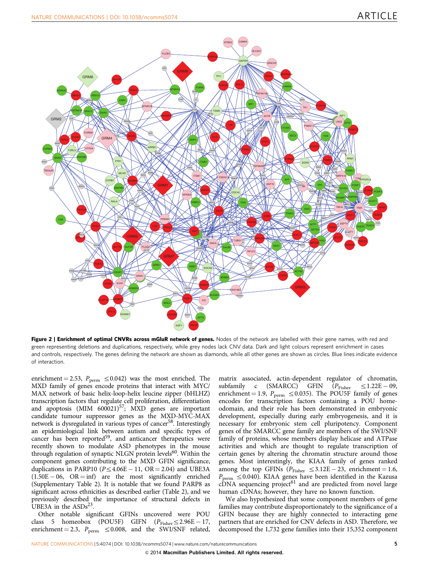<span id="page-4-0"></span>

Figure 2 | Enrichment of optimal CNVRs across mGluR network of genes. Nodes of the network are labelled with their gene names, with red and green representing deletions and duplications, respectively, while grey nodes lack CNV data. Dark and light colours represent enrichment in cases and controls, respectively. The genes defining the network are shown as diamonds, while all other genes are shown as circles. Blue lines indicate evidence of interaction.

enrichment = 2.53,  $P_{perm} \leq 0.042$ ) was the most enriched. The MXD family of genes encode proteins that interact with MYC/ MAX network of basic helix-loop-helix leucine zipper (bHLHZ) transcription factors that regulate cell proliferation, differentiation and apoptosis (MIM  $600021$ )<sup>57</sup>; MXD genes are important candidate tumour suppressor genes as the MXD-MYC-MAX network is dysregulated in various types of cancer<sup>58</sup>. Interestingly an epidemiological link between autism and specific types of cancer has been reported<sup>59</sup>, and anticancer therapeutics were recently shown to modulate ASD phenotypes in the mouse through regulation of synaptic NLGN protein levels<sup>60</sup>. Within the component genes contributing to the MXD GFIN significance, duplications in PARP10 ( $P \le 4.06E - 11$ ,  $OR = 2.04$ ) and UBE3A  $(1.50E - 06, \text{OR} = \text{inf})$  are the most significantly enriched (Supplementary Table 2). It is notable that we found PARP8 as significant across ethnicities as described earlier [\(Table 2](#page-3-0)), and we previously described the importance of structural defects in UBE3A in the  $ASDs^{23}$ .

Other notable significant GFINs uncovered were POU class 5 homeobox (POU5F) GIFN  $(P_{Fisher} \leq 2.96E - 17,$ enrichment = 2.3,  $P_{\text{perm}} \leq 0.008$ , and the SWI/SNF related,

matrix associated, actin-dependent regulator of chromatin, subfamily c (SMARCC) GFIN  $(P_{Fisher}$  $\leq$  1.22E – 09, enrichment = 1.9,  $P_{\text{perm}} \leq 0.035$ ). The POU5F family of genes encodes for transcription factors containing a POU homeodomain, and their role has been demonstrated in embryonic development, especially during early embryogenesis, and it is necessary for embryonic stem cell pluripotency. Component genes of the SMARCC gene family are members of the SWI/SNF family of proteins, whose members display helicase and ATPase activities and which are thought to regulate transcription of certain genes by altering the chromatin structure around those genes. Most interestingly, the KIAA family of genes ranked among the top GFINs ( $P_{\text{Fisher}} \leq 3.12E - 23$ , enrichment = 1.6,  $P_{\text{perm}} \leq 0.040$ ). KIAA genes have been identified in the Kazusa cDNA sequencing project<sup>[61](#page-7-0)</sup> and are predicted from novel large human cDNAs; however, they have no known function.

We also hypothesized that some component members of gene families may contribute disproportionately to the significance of a GFIN because they are highly connected to interacting gene partners that are enriched for CNV defects in ASD. Therefore, we decomposed the 1,732 gene families into their 15,352 component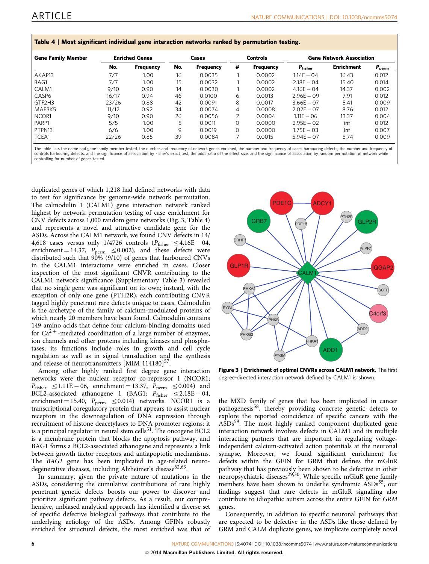| <b>Gene Family Member</b> | <b>Enriched Genes</b> |                  | Cases |                  | Controls       |                  | <b>Gene Network Association</b> |                   |                   |
|---------------------------|-----------------------|------------------|-------|------------------|----------------|------------------|---------------------------------|-------------------|-------------------|
|                           | No.                   | <b>Frequency</b> | No.   | <b>Frequency</b> | #              | <b>Frequency</b> | $P_{\text{fisher}}$             | <b>Enrichment</b> | $P_{\text{perm}}$ |
| AKAP13                    | 7/7                   | 1.00             | 16    | 0.0035           |                | 0.0002           | $1.14E - 04$                    | 16.43             | 0.012             |
| BAG1                      | 7/7                   | 1.00             | 15    | 0.0032           |                | 0.0002           | $2.18E - 04$                    | 15.40             | 0.014             |
| CALM1                     | 9/10                  | 0.90             | 14    | 0.0030           |                | 0.0002           | $4.16E - 04$                    | 14.37             | 0.002             |
| CASP <sub>6</sub>         | 16/17                 | 0.94             | 46    | 0.0100           | 6              | 0.0013           | $2.96E - 09$                    | 7.91              | 0.012             |
| GTF2H3                    | 23/26                 | 0.88             | 42    | 0.0091           | 8              | 0.0017           | $3.66E - 07$                    | 5.41              | 0.009             |
| MAP3K5                    | 11/12                 | 0.92             | 34    | 0.0074           | 4              | 0.0008           | $2.02E - 07$                    | 8.76              | 0.012             |
| NCOR1                     | 9/10                  | 0.90             | 26    | 0.0056           | $\overline{2}$ | 0.0004           | $1.11E - 06$                    | 13.37             | 0.004             |
| PARP1                     | 5/5                   | 1.00             | 5     | 0.0011           | $\Omega$       | 0.0000           | $2.95E - 02$                    | inf               | 0.012             |
| PTPN13                    | 6/6                   | 1.00             | 9     | 0.0019           | 0              | 0.0000           | $1.75E - 03$                    | inf               | 0.007             |
| TCEA1                     | 22/26                 | 0.85             | 39    | 0.0084           |                | 0.0015           | $5.94E - 07$                    | 5.74              | 0.009             |

Table 4 | Most significant individual gene interaction networks ranked by permutation testing.

The table lists the name and gene family member tested, the number and frequency of network genes enriched, the number and frequency of cases harbouring defects, the number and frequency of controls harbouring defects, and the significance of association by Fisher's exact test, the odds ratio of the effect size, and the significance of association by random permutation of network while controlling for number of genes tested.

duplicated genes of which 1,218 had defined networks with data to test for significance by genome-wide network permutation. The calmodulin 1 (CALM1) gene interaction network ranked highest by network permutation testing of case enrichment for CNV defects across 1,000 random gene networks (Fig. 3, Table 4) and represents a novel and attractive candidate gene for the ASDs. Across the CALM1 network, we found CNV defects in 14/ 4,618 cases versus only 1/4726 controls  $(P_{\text{fisher}} \le 4.16E - 04,$ enrichment = 14.37,  $P_{\text{perm}} \leq 0.002$ ), and these defects were distributed such that  $90\%$  (9/10) of genes that harboured CNVs in the CALM1 interactome were enriched in cases. Closer inspection of the most significant CNVR contributing to the CALM1 network significance (Supplementary Table 3) revealed that no single gene was significant on its own; instead, with the exception of only one gene (PTH2R), each contributing CNVR tagged highly penetrant rare defects unique to cases. Calmodulin is the archetype of the family of calcium-modulated proteins of which nearly 20 members have been found. Calmodulin contains 149 amino acids that define four calcium-binding domains used for  $Ca^{2+}$ -mediated coordination of a large number of enzymes, ion channels and other proteins including kinases and phosphatases; its functions include roles in growth and cell cycle regulation as well as in signal transduction and the synthesis and release of neurotransmitters  $[MIM 114180]^{57}$  $[MIM 114180]^{57}$  $[MIM 114180]^{57}$ .

Among other highly ranked first degree gene interaction networks were the nuclear receptor co-repressor 1 (NCOR1;  $P_{\text{fisher}} \leq 1.11E - 06$ , enrichment = 13.37,  $P_{\text{perm}} \leq 0.004$ ) and BCL2-associated athanogene 1 (BAG1;  $P_{\text{fisher}} \le 2.18E - 04$ , enrichment = 15.40,  $P_{\text{perm}} \leq 0.014$ ) networks. NCOR1 is a transcriptional coregulatory protein that appears to assist nuclear receptors in the downregulation of DNA expression through recruitment of histone deacetylases to DNA promoter regions; it is a principal regulator in neural stem cells<sup>51</sup>. The oncogene BCL2 is a membrane protein that blocks the apoptosis pathway, and BAG1 forms a BCL2-associated athanogene and represents a link between growth factor receptors and antiapoptotic mechanisms. The BAG1 gene has been implicated in age-related neuro-degenerative diseases, including Alzheimer's disease<sup>[62,63](#page-7-0)</sup>.

In summary, given the private nature of mutations in the ASDs, considering the cumulative contributions of rare highly penetrant genetic defects boosts our power to discover and prioritize significant pathway defects. As a result, our comprehensive, unbiased analytical approach has identified a diverse set of specific defective biological pathways that contribute to the underlying aetiology of the ASDs. Among GFINs robustly enriched for structural defects, the most enriched was that of



Figure 3 | Enrichment of optimal CNVRs across CALM1 network. The first degree-directed interaction network defined by CALM1 is shown.

the MXD family of genes that has been implicated in cancer pathogenesis<sup>[58](#page-7-0)</sup>, thereby providing concrete genetic defects to explore the reported coincidence of specific cancers with the ASDs<sup>[59](#page-7-0)</sup>. The most highly ranked component duplicated gene interaction network involves defects in CALM1 and its multiple interacting partners that are important in regulating voltageindependent calcium-activated action potentials at the neuronal synapse. Moreover, we found significant enrichment for defects within the GFIN for GRM that defines the mGluR pathway that has previously been shown to be defective in other neuropsychiatric diseases<sup>29,30</sup>. While specific mGluR gene family members have been shown to underlie syndromic ASDs<sup>55</sup>, our findings suggest that rare defects in mGluR signalling also contribute to idiopathic autism across the entire GFIN for GRM genes.

Consequently, in addition to specific neuronal pathways that are expected to be defective in the ASDs like those defined by GRM and CALM duplicate genes, we implicate completely novel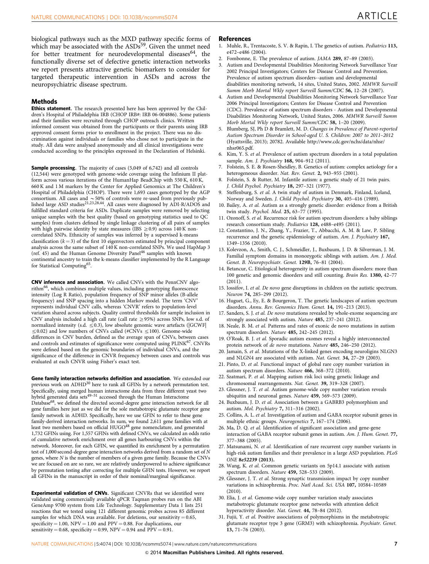<span id="page-6-0"></span>biological pathways such as the MXD pathway specific forms of which may be associated with the ASDs<sup>[59](#page-7-0)</sup>. Given the unmet need for better treatment for neurodevelopmental diseases<sup>[64](#page-7-0)</sup>, the functionally diverse set of defective genetic interaction networks we report presents attractive genetic biomarkers to consider for targeted therapeutic intervention in ASDs and across the neuropsychiatric disease spectrum.

#### Methods

Ethics statement. The research presented here has been approved by the Children's Hospital of Philadelphia IRB (CHOP IRB#: IRB 06-004886). Some patients and their families were recruited through CHOP outreach clinics. Written informed consent was obtained from the participants or their parents using IRB approved consent forms prior to enrollment in the project. There was no discrimination against individuals or families who chose not to participate in the study. All data were analysed anonymously and all clinical investigations were conducted according to the principles expressed in the Declaration of Helsinki.

**Sample processing.** The majority of cases (5,049 of 6,742) and all controls (12,544) were genotyped with genome-wide coverage using the Infinium II platform across various iterations of the HumanHap BeadChip with 550 K, 610 K, 660 K and 1 M markers by the Center for Applied Genomics at The Children's Hospital of Philadelphia (CHOP). There were 1,693 cases genotyped by the AGP consortium. All cases and  $\sim$  50% of controls were re-used from previously pub-<br>lished large ASD studies<sup>21,23,28,44</sup>. All cases were diagnosed by ADI-R/ADOS and fulfilled standard criteria for ASDs. Duplicate samples were removed by selecting unique samples with the best quality (based on genotyping statistics used to QC samples) from clusters defined by single linkage clustering of all pairs of samples with high pairwise identity by state measures (IBS  $\geq$  0.9) across 140 K noncorrelated SNPs. Ethnicity of samples was inferred by a supervised k-means classification ( $k = 3$ ) of the first 10 eigenvectors estimated by principal component analysis across the same subset of 140 K non-correlated SNPs. We used HapMap 3 [\(ref. 45](#page-7-0)) and the Human Genome Diversity Panel<sup>[46](#page-7-0)</sup> samples with known continental ancestry to train the k-means classifier implemented by the R Language for Statistical Computing[65.](#page-7-0)

CNV inference and association. We called CNVs with the PennCNV algorithm[66](#page-7-0), which combines multiple values, including genotyping fluorescence intensity (Log R Ratio), population frequency of SNP minor alleles (B-allele frequency) and SNP spacing into a hidden Markov model. The term 'CNV' represents individual CNV calls, whereas 'CNVR' refers to population-level variation shared across subjects. Quality control thresholds for sample inclusion in CNV analysis included a high call rate (call rate  $\geq$ 95%) across SNPs, low s.d. of normalized intensity (s.d.  $\leq$ 0.3), low absolute genomic wave artefacts (|GCWF|  $\leq$ 0.02) and low numbers of CNVs called (#CNVs  $\leq$ 100). Genome-wide differences in CNV burden, defined as the average span of CNVs, between cases and controls and estimates of significance were computed using PLINK<sup>67</sup>. CNVRs were defined based on the genomic boundaries of individual CNVs, and the significance of the difference in CNVR frequency between cases and controls was evaluated at each CNVR using Fisher's exact test.

Gene family interaction networks definition and association. We extended our previous work on ADHD<sup>30</sup> here to rank all GFINs by a network permutation test. Specifically, using merged human interactome data from three different yeast two hybrid generated data sets<sup>49–51</sup> accessed through the Human Interactome  $D$ atabase<sup>68</sup>, we defined the directed second-degree gene interaction network for all gene families here just as we did for the sole metabotropic glutamate receptor gene family network in ADHD. Specifically, here we use GFIN to refer to these gene family-derived interaction networks. In sum, we found 2,611 gene families with at<br>least two members based on official HUGO<sup>48</sup> gene nomenclature, and generated 1,732 GFINs using. For 1,557 GFINs with defined CNVs, we calculated an odds ratio of cumulative network enrichment over all genes harbouring CNVs within the network. Moreover, for each GFIN, we quantified its enrichment by a permutation test of 1,000 second-degree gene interaction networks derived from a random set of N genes, where N is the number of members of a given gene family. Because the CNVs we are focused on are so rare, we are relatively underpowered to achieve significance by permutation testing after correcting for multiple GFIN tests. However, we report all GFINs in the manuscript in order of their nominal/marginal significance.

Experimental validation of CNVs. Significant CNVRs that we identified were validated using commercially available qPCR Taqman probes run on the ABI GeneAmp 9700 system from Life Technology. Supplementary Data 1 lists 251 reactions that we tested using 121 different genomic probes across 85 different samples for which DNA was available. For deletions, our sensitivity  $=$  0.65, specificity  $= 1.00$ , NPV  $= 1.00$  and PPV  $= 0.88$ . For duplications, our sensitivity = 0.68, specificity = 0.99, NPV = 0.94 and PPV = 0.91.

#### References

- 1. Muhle, R., Trentacoste, S. V. & Rapin, I. The genetics of autism. Pediatrics 113, e472–e486 (2004).
- 2. Fombonne, E. The prevalence of autism. JAMA 289, 87–89 (2003).
- 3. Autism and Developmental Disabilities Monitoring Network Surveillance Year 2002 Principal Investigators; Centers for Disease Control and Prevention. Prevalence of autism spectrum disorders--autism and developmental disabilities monitoring network, 14 sites, United States, 2002. MMWR Surveill Summ Morb Mortal Wkly report Surveill Summ/CDC 56, 12–28 (2007).
- 4. Autism and Developmental Disabilities Monitoring Network Surveillance Year 2006 Principal Investigators; Centers for Disease Control and Prevention (CDC). Prevalence of autism spectrum disorders - Autism and Developmental Disabilities Monitoring Network, United States, 2006. MMWR Surveill Summ Morb Mortal Wkly report Surveill Summ/CDC 58, 1–20 (2009).
- 5. Blumberg, SJ, Ph D & Bramlett, M. D. Changes in Prevalence of Parent-reported Autism Spectrum Disorder in School-aged U. S. Children: 2007 to 2011–2012 (Hyattsville, 2013); 20782. Available [http://www.cdc.gov/nchs/data/nhsr/](http://www.cdc.gov/nchs/data/nhsr/nhsr065.pdf) [nhsr065.pdf.](http://www.cdc.gov/nchs/data/nhsr/nhsr065.pdf)
- 6. Kim, Y. S. et al. Prevalence of autism spectrum disorders in a total population sample. Am. J. Psychiatry 168, 904-912 (2011).
- 7. Folstein, S. E. & Rosen-Sheidley, B. Genetics of autism: complex aetiology for a heterogeneous disorder. Nat. Rev. Genet. 2, 943–955 (2001).
- 8. Folstein, S. & Rutter, M. Infantile autism: a genetic study of 21 twin pairs. J. Child Psychol. Psychiatry 18, 297–321 (1977).
- 9. Steffenburg, S. et al. A twin study of autism in Denmark, Finland, Iceland, Norway and Sweden. J. Child Psychol. Psychiatry 30, 405–416 (1989).
- 10. Bailey, A. et al. Autism as a strongly genetic disorder: evidence from a British twin study. Psychol. Med. 25, 63–77 (1995).
- 11. Ozonoff, S. et al. Recurrence risk for autism spectrum disorders: a baby siblings research consortium study. Pediatrics 128, e488–e495 (2011).
- 12. Constantino, J. N., Zhang, Y., Frazier, T., Abbacchi, A. M. & Law, P. Sibling recurrence and the genetic epidemiology of autism. Am. J. Psychiatry 167, 1349–1356 (2010).
- 13. Kolevzon, A., Smith, C. J., Schmeidler, J., Buxbaum, J. D. & Silverman, J. M. Familial symptom domains in monozygotic siblings with autism. Am. J. Med. Genet. B. Neuropsychiatr. Genet. 129B, 76–81 (2004).
- 14. Betancur, C. Etiological heterogeneity in autism spectrum disorders: more than 100 genetic and genomic disorders and still counting. Brain Res. 1380, 42–77 (2011).
- 15. Iossifov, I. et al. De novo gene disruptions in children on the autistic spectrum. Neuron 74, 285–299 (2012).
- 16. Huguet, G., Ey, E. & Bourgeron, T. The genetic landscapes of autism spectrum disorders. Annu. Rev. Genomics Hum. Genet. 14, 191–213 (2013).
- 17. Sanders, S. J. et al. De novo mutations revealed by whole-exome sequencing are strongly associated with autism. Nature 485, 237–241 (2012).
- 18. Neale, B. M. et al. Patterns and rates of exonic de novo mutations in autism spectrum disorders. Nature 485, 242–245 (2012).
- 19. O'Roak, B. J. et al. Sporadic autism exomes reveal a highly interconnected protein network of de novo mutations. Nature 485, 246–250 (2012).
- 20. Jamain, S. et al. Mutations of the X-linked genes encoding neuroligins NLGN3 and NLGN4 are associated with autism. Nat. Genet. 34, 27–29 (2003).
- 21. Pinto, D. et al. Functional impact of global rare copy number variation in autism spectrum disorders. Nature 466, 368–372 (2010).
- 22. Szatmari, P. et al. Mapping autism risk loci using genetic linkage and chromosomal rearrangements. Nat. Genet. 39, 319–328 (2007).
- 23. Glessner, J. T. et al. Autism genome-wide copy number variation reveals ubiquitin and neuronal genes. Nature 459, 569–573 (2009).
- 24. Buxbaum, J. D. et al. Association between a GABRB3 polymorphism and autism. Mol. Psychiatry 7, 311–316 (2002).
- 25. Collins, A. L. et al. Investigation of autism and GABA receptor subunit genes in multiple ethnic groups. Neurogenetics 7, 167–174 (2006).
- 26. Ma, D. Q. et al. Identification of significant association and gene-gene interaction of GABA receptor subunit genes in autism. Am. J. Hum. Genet. 77, 377–388 (2005).
- 27. Matsunami, N. et al. Identification of rare recurrent copy number variants in high-risk autism families and their prevalence in a large ASD population. PLoS ONE 8e52239 (2013).
- 28. Wang, K. et al. Common genetic variants on 5p14.1 associate with autism spectrum disorders. Nature 459, 528–533 (2009).
- 29. Glessner, J. T. et al. Strong synaptic transmission impact by copy number variations in schizophrenia. Proc. Natl Acad. Sci. USA 107, 10584–10589 (2010).
- 30. Elia, J. et al. Genome-wide copy number variation study associates metabotropic glutamate receptor gene networks with attention deficit hyperactivity disorder. Nat. Genet. 44, 78-84 (2012).
- 31. Fujii, Y. et al. Positive associations of polymorphisms in the metabotropic glutamate receptor type 3 gene (GRM3) with schizophrenia. Psychiatr. Genet. 13, 71–76 (2003).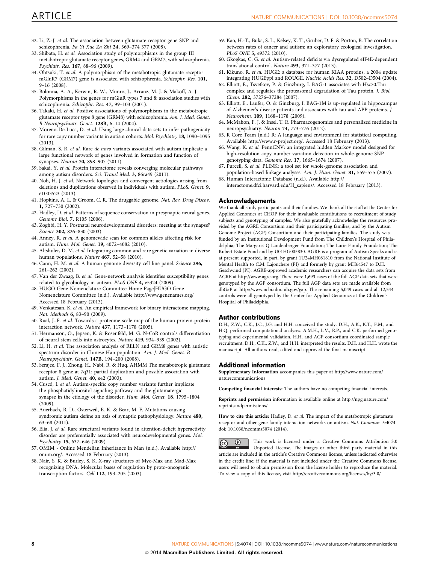- <span id="page-7-0"></span>32. Li, Z.-J. et al. The association between glutamate receptor gene SNP and schizophrenia. Fa Yi Xue Za Zhi 24, 369–374 377 (2008).
- 33. Shibata, H. et al. Association study of polymorphisms in the group III metabotropic glutamate receptor genes, GRM4 and GRM7, with schizophrenia. Psychiatr. Res. 167, 88–96 (2009).
- 34. Ohtsuki, T. et al. A polymorphism of the metabotropic glutamate receptor mGluR7 (GRM7) gene is associated with schizophrenia. Schizophr. Res. 101, 9–16 (2008).
- 35. Bolonna, A. A., Kerwin, R. W., Munro, J., Arranz, M. J. & Makoff, A. J. Polymorphisms in the genes for mGluR types 7 and 8: association studies with schizophrenia. Schizophr. Res. 47, 99–103 (2001).
- 36. Takaki, H. et al. Positive associations of polymorphisms in the metabotropic glutamate receptor type 8 gene (GRM8) with schizophrenia. Am. J. Med. Genet. B Neuropsychiatr. Genet. 128B, 6–14 (2004).
- 37. Moreno-De-Luca, D. et al. Using large clinical data sets to infer pathogenicity for rare copy number variants in autism cohorts. Mol. Psychiatry 18, 1090–1095 (2013).
- 38. Gilman, S. R. et al. Rare de novo variants associated with autism implicate a large functional network of genes involved in formation and function of synapses. Neuron 70, 898–907 (2011).
- 39. Sakai, Y. et al. Protein interactome reveals converging molecular pathways among autism disorders. Sci. Transl Med. 3, 86ra49 (2011).
- 40. Noh, H. J. et al. Network topologies and convergent aetiologies arising from deletions and duplications observed in individuals with autism. PLoS. Genet. 9, e1003523 (2013).
- 41. Hopkins, A. L. & Groom, C. R. The druggable genome. Nat. Rev. Drug Discov. 1, 727–730 (2002).
- 42. Hadley, D. et al. Patterns of sequence conservation in presynaptic neural genes. Genome Biol. 7, R105 (2006).
- 43. Zoghbi, H. Y. Postnatal neurodevelopmental disorders: meeting at the synapse? Science 302, 826-830 (2003).
- 44. Anney, R. et al. A genomewide scan for common alleles affecting risk for autism. Hum. Mol. Genet. 19, 4072–4082 (2010).
- 45. Altshuler, D. M. et al. Integrating common and rare genetic variation in diverse human populations. Nature 467, 52-58 (2010).
- 46. Cann, H. M. et al. A human genome diversity cell line panel. Science 296, 261–262 (2002).
- 47. Van der Zwaag, B. et al. Gene-network analysis identifies susceptibility genes related to glycobiology in autism. PLoS ONE 4, e5324 (2009).
- 48. HUGO Gene Nomenclature Committee Home Page|HUGO Gene Nomenclature Committee (n.d.). Available<http://www.genenames.org/> Accessed 18 February (2013).
- 49. Venkatesan, K. et al. An empirical framework for binary interactome mapping. Nat. Methods 6, 83–90 (2009).
- 50. Rual, J.-F. et al. Towards a proteome-scale map of the human protein-protein interaction network. Nature 437, 1173–1178 (2005).
- 51. Hermanson, O., Jepsen, K. & Rosenfeld, M. G. N-CoR controls differentiation of neural stem cells into astrocytes. Nature 419, 934–939 (2002).
- 52. Li, H. et al. The association analysis of RELN and GRM8 genes with autistic spectrum disorder in Chinese Han population. Am. J. Med. Genet. B Neuropsychiatr. Genet. 147B, 194–200 (2008).
- 53. Serajee, F. J., Zhong, H., Nabi, R. & Huq, AHMM The metabotropic glutamate receptor 8 gene at 7q31: partial duplication and possible association with autism. J. Med. Genet. 40, e42 (2003).
- 54. Cuscó, I. et al. Autism-specific copy number variants further implicate the phosphatidylinositol signaling pathway and the glutamatergic synapse in the etiology of the disorder. Hum. Mol. Genet. 18, 1795–1804 (2009).
- 55. Auerbach, B. D., Osterweil, E. K. & Bear, M. F. Mutations causing syndromic autism define an axis of synaptic pathophysiology. Nature 480, 63–68 (2011).
- 56. Elia, J. et al. Rare structural variants found in attention-deficit hyperactivity disorder are preferentially associated with neurodevelopmental genes. Mol. Psychiatry 15, 637–646 (2009).
- 57. OMIM Online Mendelian Inheritance in Man (n.d.). Available [http://](http://omim.org/) [omim.org/](http://omim.org/). Accessed 18 February (2013).
- 58. Nair, S. K. & Burley, S. K. X-ray structures of Myc-Max and Mad-Max recognizing DNA. Molecular bases of regulation by proto-oncogenic transcription factors. Cell 112, 193–205 (2003).
- 59. Kao, H.-T., Buka, S. L., Kelsey, K. T., Gruber, D. F. & Porton, B. The correlation between rates of cancer and autism: an exploratory ecological investigation. PLoS ONE 5, e9372 (2010).
- 60. Gkogkas, C. G. et al. Autism-related deficits via dysregulated eIF4E-dependent translational control. Nature 493, 371–377 (2013).
- 61. Kikuno, R. et al. HUGE: a database for human KIAA proteins, a 2004 update integrating HUGEppi and ROUGE. Nucleic Acids Res. 32, D502–D504 (2004).
- 62. Elliott, E., Tsvetkov, P. & Ginzburg, I. BAG-1 associates with Hsc70.Tau complex and regulates the proteasomal degradation of Tau protein. J. Biol. Chem. 282, 37276–37284 (2007).
- 63. Elliott, E., Laufer, O. & Ginzburg, I. BAG-1M is up-regulated in hippocampus of Alzheimer's disease patients and associates with tau and APP proteins. J. Neurochem. 109, 1168–1178 (2009).
- 64. McMahon, F. J. & Insel, T. R. Pharmacogenomics and personalized medicine in neuropsychiatry. Neuron 74, 773–776 (2012).
- 65. R Core Team (n.d.) R: A language and environment for statistical computing. Available<http://www.r-project.org/>. Accessed 18 February (2013).
- 66. Wang, K. et al. PennCNV: an integrated hidden Markov model designed for high-resolution copy number variation detection in whole-genome SNP genotyping data. Genome Res. 17, 1665–1674 (2007).
- 67. Purcell, S. et al. PLINK: a tool set for whole-genome association and population-based linkage analyses. Am. J. Hum. Genet. 81, 559–575 (2007). 68. Human Interactome Database (n.d.). Available [http://](http://interactome.dfci.harvard.edu/H_sapiens/)
- [interactome.dfci.harvard.edu/H\\_sapiens/](http://interactome.dfci.harvard.edu/H_sapiens/). Accessed 18 February (2013).

#### Acknowledgements

We thank all study participants and their families. We thank all the staff at the Center for Applied Genomics at CHOP for their invaluable contributions to recruitment of study subjects and genotyping of samples. We also gratefully acknowledge the resources provided by the AGRE Consortium and their participating families, and by the Autism Genome Project (AGP) Consortium and their participating families. The study was funded by an Institutional Development Fund from The Children's Hospital of Philadelphia; The Margaret Q Landenberger Foundation; The Lurie Family Foundation; The Kubert Estate Fund and by U01HG005830. AGRE is a program of Autism Speaks and is at present supported, in part, by grant 1U24MH081810 from the National Institute of Mental Health to C.M. Lajonchere (PI) and formerly by grant MH64547 to D.H. Geschwind (PI). AGRE-approved academic researchers can acquire the data sets from AGRE at<http://www.agre.org>. There were 1,693 cases of the full AGP data sets that were genotyped by the AGP consortium. The full AGP data sets are made available from dbGaP at [http://www.ncbi.nlm.nih.gov/gap.](http://www.ncbi.nlm.nih.gov/gap) The remaining 5,049 cases and all 12,544 controls were all genotyped by the Center for Applied Genomics at the Children's Hospital of Philadelphia.

#### Author contributions

D.H., Z.W., C.K., J.C., J.G. and H.H. conceived the study. D.H., A.K., K.T., F.M., and H.Q. performed computational analyses. A.M.H., L.V., R.P., and C.K. performed genotyping and experimental validation. H.H. and AGP consortium coordinated sample recruitment. D.H., C.K., Z.W., and H.H. interpreted the results. D.H. and H.H. wrote the manuscript. All authors read, edited and approved the final manuscript

#### Additional information

Supplementary Information accompanies this paper at [http://www.nature.com/](http://www.nature.com/naturecommunications) [naturecommunications](http://www.nature.com/naturecommunications)

Competing financial interests: The authors have no competing financial interests.

Reprints and permission information is available online at [http://npg.nature.com/](http://npg.nature.com/reprintsandpermissions/) [reprintsandpermissions/](http://npg.nature.com/reprintsandpermissions/)

How to cite this article: Hadley, D. et al. The impact of the metabotropic glutamate receptor and other gene family interaction networks on autism. Nat. Commun. 5:4074 doi: 10.1038/ncomms5074 (2014).

This work is licensed under a Creative Commons Attribution 3.0  $\odot$  $\left($ cc Unported License. The images or other third party material in this article are included in the article's Creative Commons license, unless indicated otherwise in the credit line; if the material is not included under the Creative Commons license, users will need to obtain permission from the license holder to reproduce the material. To view a copy of this license, visit<http://creativecommons.org/licenses/by/3.0/>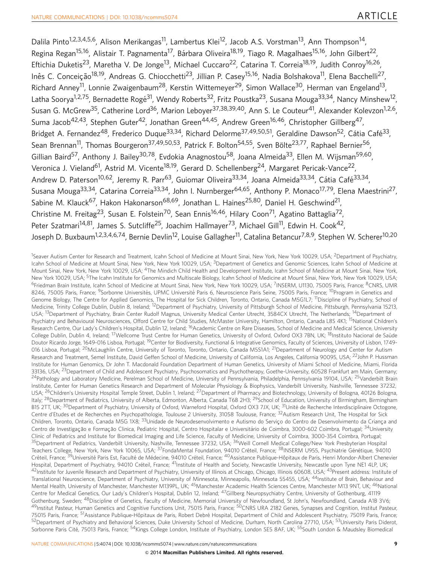Dalila Pinto<sup>1,2,3,4,5,6</sup>, Alison Merikangas<sup>11</sup>, Lambertus Klei<sup>12</sup>, Jacob A.S. Vorstman<sup>13</sup>, Ann Thompson<sup>14</sup>, Regina Regan<sup>15,16</sup>, Alistair T. Pagnamenta<sup>17</sup>, Bárbara Oliveira<sup>18,19</sup>, Tiago R. Magalhaes<sup>15,16</sup>, John Gilbert<sup>22</sup>, Eftichia Duketis<sup>23</sup>, Maretha V. De Jonge<sup>13</sup>, Michael Cuccaro<sup>22</sup>, Catarina T. Correia<sup>18,19</sup>, Judith Conroy<sup>16,26</sup>, Inês C. Conceicão<sup>18,19</sup>, Andreas G. Chiocchetti<sup>23</sup>, Jillian P. Casey<sup>15,16</sup>, Nadia Bolshakova<sup>11</sup>, Elena Bacchelli<sup>27</sup>, Richard Anney<sup>11</sup>, Lonnie Zwaigenbaum<sup>28</sup>, Kerstin Wittemeyer<sup>29</sup>, Simon Wallace<sup>30</sup>, Herman van Engeland<sup>13</sup>, Latha Soorya<sup>1,2,75</sup>, Bernadette Rogé<sup>31</sup>, Wendy Roberts<sup>32</sup>, Fritz Poustka<sup>23</sup>, Susana Mouga<sup>33,34</sup>, Nancy Minshew<sup>12</sup>, Susan G. McGrew<sup>35</sup>, Catherine Lord<sup>36</sup>, Marion Leboyer<sup>37,38,39,40</sup>, Ann S. Le Couteur<sup>41</sup>, Alexander Kolevzon<sup>1,2,6</sup>, Suma Jacob<sup>42,43</sup>, Stephen Guter<sup>42</sup>, Jonathan Green<sup>44,45</sup>, Andrew Green<sup>16,46</sup>, Christopher Gillberg<sup>47</sup>, Bridget A. Fernandez<sup>48</sup>, Frederico Duque<sup>33,34</sup>, Richard Delorme<sup>37,49,50,51</sup>, Geraldine Dawson<sup>52</sup>, Cátia Café<sup>33</sup>, Sean Brennan<sup>11</sup>, Thomas Bourgeron<sup>37,49,50,53</sup>, Patrick F. Bolton<sup>54,55</sup>, Sven Bölte<sup>23,77</sup>, Raphael Bernier<sup>56</sup>, Gillian Baird<sup>57</sup>, Anthony J. Bailey<sup>30,78</sup>, Evdokia Anagnostou<sup>58</sup>, Joana Almeida<sup>33</sup>, Ellen M. Wijsman<sup>59,60</sup>, Veronica J. Vieland<sup>61</sup>, Astrid M. Vicente<sup>18,19</sup>, Gerard D. Schellenberg<sup>24</sup>, Margaret Pericak-Vance<sup>22</sup>, Andrew D. Paterson<sup>10,62</sup>, Jeremy R. Parr<sup>63</sup>, Guiomar Oliveira<sup>33,34</sup>, Joana Almeida<sup>33,34</sup>, Cátia Café<sup>33,34</sup>, Susana Mouga<sup>33,34</sup>, Catarina Correia<sup>33,34</sup>, John I. Nurnberger<sup>64,65</sup>, Anthony P. Monaco<sup>17,79</sup>, Elena Maestrini<sup>27</sup>, Sabine M. Klauck<sup>67</sup>, Hakon Hakonarson<sup>68,69</sup>, Jonathan L. Haines<sup>25,80</sup>, Daniel H. Geschwind<sup>21</sup>, Christine M. Freitag<sup>23</sup>, Susan E. Folstein<sup>70</sup>, Sean Ennis<sup>16,46</sup>, Hilary Coon<sup>71</sup>, Agatino Battaglia<sup>72</sup>, Peter Szatmari<sup>14,81</sup>, James S. Sutcliffe<sup>25</sup>, Joachim Hallmayer<sup>73</sup>, Michael Gill<sup>11</sup>, Edwin H. Cook<sup>42</sup>, Joseph D. Buxbaum<sup>1,2,3,4,6,74</sup>, Bernie Devlin<sup>12</sup>, Louise Gallagher<sup>11</sup>, Catalina Betancur<sup>7,8,9</sup>, Stephen W. Scherer<sup>10,20</sup>

<sup>1</sup>Seaver Autism Center for Research and Treatment, Icahn School of Medicine at Mount Sinai, New York, New York 10029, USA; <sup>2</sup>Department of Psychiatry, Icahn School of Medicine at Mount Sinai, New York, New York 10029, USA; <sup>3</sup>Department of Genetics and Genomic Sciences, Icahn School of Medicine at Mount Sinai, New York, New York 10029, USA; <sup>4</sup>The Mindich Child Health and Development Institute, Icahn School of Medicine at Mount Sinai, New York, New York 10029, USA; <sup>5</sup>The Icahn Institute for Genomics and Multiscale Biology, Icahn School of Medicine at Mount Sinai, New York, New York 10029, USA; <sup>6</sup>Friedman Brain Institute, Icahn School of Medicine at Mount Sinai, New York, New York 10029, USA; <sup>7</sup>INSERM, U1130, 75005 Paris, France; <sup>8</sup>CNRS, UMR 8246, 75005 Paris, France; <sup>9</sup>Sorbonne Universités, UPMC Université Paris 6, Neuroscience Paris Seine, 75005 Paris, France; <sup>10</sup>Program in Genetics and Genome Biology, The Centre for Applied Genomics, The Hospital for Sick Children, Toronto, Ontario, Canada M5G1L7; <sup>11</sup>Discipline of Psychiatry, School of Medicine, Trinity College Dublin, Dublin 8, Ireland; <sup>12</sup>Department of Psychiatry, University of Pittsburgh School of Medicine, Pittsburgh, Pennsylvania 15213, USA; <sup>13</sup>Department of Psychiatry, Brain Center Rudolf Magnus, University Medical Center Utrecht, 3584CX Utrecht, The Netherlands; <sup>14</sup>Department of Psychiatry and Behavioural Neurosciences, Offord Centre for Child Studies, McMaster University, Hamilton, Ontario, Canada L8S 4K1; <sup>15</sup>National Children's Research Centre, Our Lady's Children's Hospital, Dublin 12, Ireland; <sup>16</sup>Academic Centre on Rare Diseases, School of Medicine and Medical Science, University College Dublin, Dublin 4, Ireland; <sup>17</sup>Wellcome Trust Centre for Human Genetics, University of Oxford, Oxford OX3 7BN, UK; <sup>18</sup>Instituto Nacional de Saúde Doutor Ricardo Jorge, 1649-016 Lisboa, Portugal; <sup>19</sup>Center for Biodiversity, Functional & Integrative Genomics, Faculty of Sciences, University of Lisbon, 1749-016 Lisboa, Portugal; <sup>20</sup>McLaughlin Centre, University of Toronto, Toronto, Ontario, Canada M5S1A1; <sup>21</sup>Department of Neurology and Center for Autism Research and Treatment, Semel Institute, David Geffen School of Medicine, University of California, Los Angeles, California 90095, USA; <sup>22</sup>John P. Hussman Institute for Human Genomics, Dr John T. Macdonald Foundation Department of Human Genetics, University of Miami School of Medicine, Miami, Florida 33136, USA; <sup>23</sup>Department of Child and Adolescent Psychiatry, Psychosomatics and Psychotherapy, Goethe-University, 60528 Frankfurt am Main, Germany; <sup>24</sup>Pathology and Laboratory Medicine, Perelman School of Medicine, University of Pennsylvania, Philadelphia, Pennsylvania 19104, USA; <sup>25</sup>Vanderbilt Brain Institute, Center for Human Genetics Research and Department of Molecular Physiology & Biophysics, Vanderbilt University, Nashville, Tennessee 37232, USA; <sup>26</sup>Children's University Hospital Temple Street, Dublin 1, Ireland; <sup>27</sup>Department of Pharmacy and Biotechnology, University of Bologna, 40126 Bologna, Italy; <sup>28</sup>Department of Pediatrics, University of Alberta, Edmonton, Alberta, Canada T6B 2H3; <sup>29</sup>School of Education, University of Birmingham, Birmingham B15 2TT, UK; <sup>30</sup>Department of Psychiatry, University of Oxford, Warneford Hospital, Oxford OX3 7JX, UK; <sup>31</sup>Unité de Recherche Interdisciplinaire Octogone, Centre d'Etudes et de Recherches en Psychopathologie, Toulouse 2 University, 31058 Toulouse, France; <sup>32</sup>Autism Research Unit, The Hospital for Sick Children, Toronto, Ontario, Canada M5G 1X8; <sup>33</sup>Unidade de Neurodesenvolvimento e Autismo do Servico do Centro de Desenvolvimento da Crianca and Centro de Investigação e Formação Clinica, Pediatric Hospital, Centro Hospitalar e Universitário de Coimbra, 3000-602 Coimbra, Portugal; <sup>34</sup>University Clinic of Pediatrics and Institute for Biomedical Imaging and Life Science, Faculty of Medicine, University of Coimbra, 3000-354 Coimbra, Portugal; <sup>35</sup>Department of Pediatrics, Vanderbilt University, Nashville, Tennessee 37232, USA; <sup>36</sup>Weill Cornell Medical College/New York Presbyterian Hospital Teachers College, New York, New York 10065, USA; <sup>37</sup>FondaMental Foundation, 94010 Créteil, France; <sup>38</sup>INSERM U955, Psychiatrie Génétique, 94010 Créteil, France; <sup>39</sup>Université Paris Est, Faculté de Médecine, 94010 Créteil, France; <sup>40</sup>Assistance Publique-Hôpitaux de Paris, Henri Mondor-Albert Chenevier Hospital, Department of Psychiatry, 94010 Créteil, France; <sup>41</sup>Institute of Health and Society, Newcastle University, Newcastle upon Tyne NE1 4LP, UK; 42Institute for Juvenile Research and Department of Psychiatry, University of Illinois at Chicago, Chicago, Illinois 60608, USA; <sup>43</sup>Present address: Institute of Translational Neuroscience, Department of Psychiatry, University of Minnesota, Minneapolis, Minnesota 55455, USA; 44Institute of Brain, Behaviour and Mental Health, University of Manchester, Manchester M139PL, UK; 45Manchester Academic Health Sciences Centre, Manchester M13 9NT, UK; 46National Centre for Medical Genetics, Our Lady's Children's Hospital, Dublin 12, Ireland; 47Gillberg Neuropsychiatry Centre, University of Gothenburg, 41119 Gothenburg, Sweden; 48Discipline of Genetics, Faculty of Medicine, Memorial University of Newfoundland, St John's, Newfoundland, Canada A1B 3V6; 49Institut Pasteur, Human Genetics and Cognitive Functions Unit, 75015 Paris, France; <sup>50</sup>CNRS URA 2182 Genes, Synapses and Cognition, Institut Pasteur, 75015 Paris, France; <sup>51</sup>Assistance Publique-Hôpitaux de Paris, Robert Debré Hospital, Department of Child and Adolescent Psychiatry, 75019 Paris, France; 52Department of Psychiatry and Behavioral Sciences, Duke University School of Medicine, Durham, North Carolina 27710, USA; <sup>53</sup>University Paris Diderot, Sorbonne Paris Cité, 75013 Paris, France; <sup>54</sup>Kings College London, Institute of Psychiatry, London SE5 8AF, UK; <sup>55</sup>South London & Maudsley Biomedical